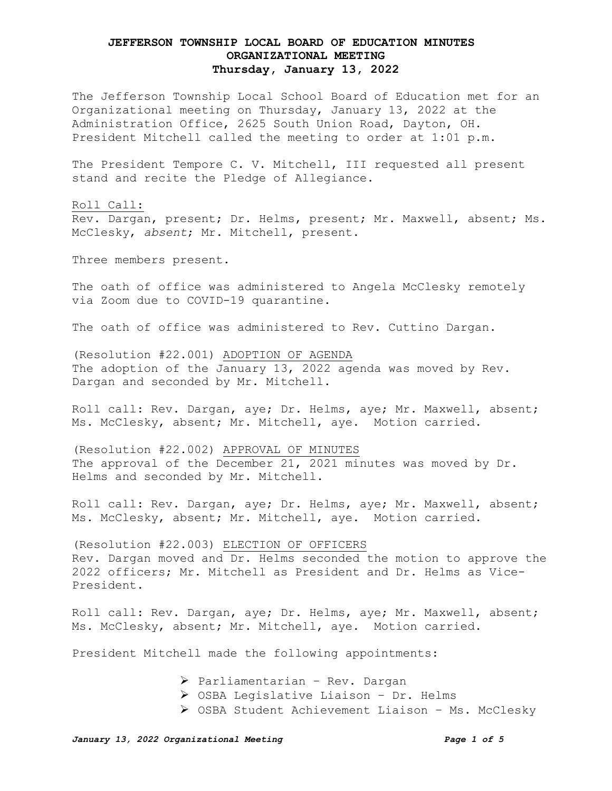The Jefferson Township Local School Board of Education met for an Organizational meeting on Thursday, January 13, 2022 at the Administration Office, 2625 South Union Road, Dayton, OH. President Mitchell called the meeting to order at 1:01 p.m.

The President Tempore C. V. Mitchell, III requested all present stand and recite the Pledge of Allegiance.

Roll Call: Rev. Dargan, present; Dr. Helms, present; Mr. Maxwell, absent; Ms. McClesky, *absent*; Mr. Mitchell, present.

Three members present.

The oath of office was administered to Angela McClesky remotely via Zoom due to COVID-19 quarantine.

The oath of office was administered to Rev. Cuttino Dargan.

(Resolution #22.001) ADOPTION OF AGENDA The adoption of the January 13, 2022 agenda was moved by Rev. Dargan and seconded by Mr. Mitchell.

Roll call: Rev. Dargan, aye; Dr. Helms, aye; Mr. Maxwell, absent; Ms. McClesky, absent; Mr. Mitchell, aye. Motion carried.

(Resolution #22.002) APPROVAL OF MINUTES The approval of the December 21, 2021 minutes was moved by Dr. Helms and seconded by Mr. Mitchell.

Roll call: Rev. Dargan, aye; Dr. Helms, aye; Mr. Maxwell, absent; Ms. McClesky, absent; Mr. Mitchell, aye. Motion carried.

(Resolution #22.003) ELECTION OF OFFICERS Rev. Dargan moved and Dr. Helms seconded the motion to approve the 2022 officers; Mr. Mitchell as President and Dr. Helms as Vice-President.

Roll call: Rev. Dargan, aye; Dr. Helms, aye; Mr. Maxwell, absent; Ms. McClesky, absent; Mr. Mitchell, aye. Motion carried.

President Mitchell made the following appointments:

 $\triangleright$  Parliamentarian - Rev. Dargan

- OSBA Legislative Liaison Dr. Helms
- ▶ OSBA Student Achievement Liaison Ms. McClesky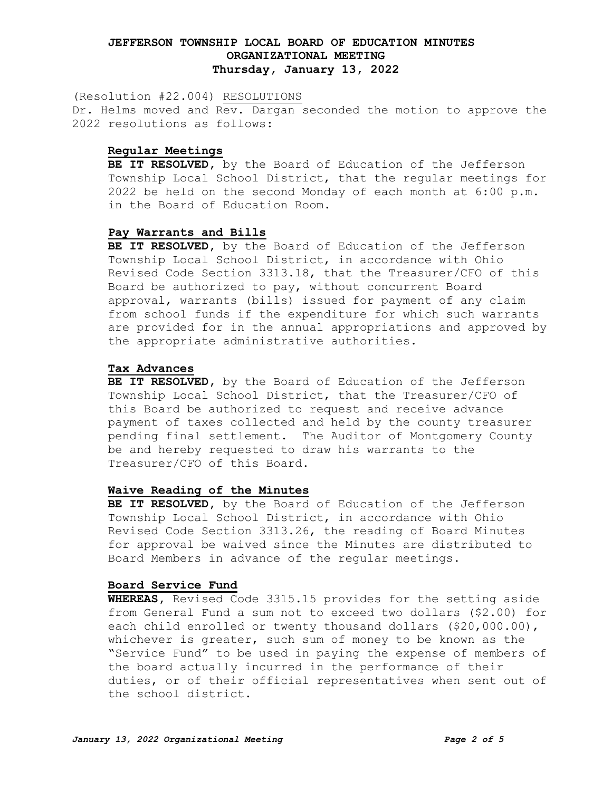(Resolution #22.004) RESOLUTIONS Dr. Helms moved and Rev. Dargan seconded the motion to approve the 2022 resolutions as follows:

### **Regular Meetings**

**BE IT RESOLVED,** by the Board of Education of the Jefferson Township Local School District, that the regular meetings for 2022 be held on the second Monday of each month at 6:00 p.m. in the Board of Education Room.

## **Pay Warrants and Bills**

**BE IT RESOLVED,** by the Board of Education of the Jefferson Township Local School District, in accordance with Ohio Revised Code Section 3313.18, that the Treasurer/CFO of this Board be authorized to pay, without concurrent Board approval, warrants (bills) issued for payment of any claim from school funds if the expenditure for which such warrants are provided for in the annual appropriations and approved by the appropriate administrative authorities.

### **Tax Advances**

**BE IT RESOLVED,** by the Board of Education of the Jefferson Township Local School District, that the Treasurer/CFO of this Board be authorized to request and receive advance payment of taxes collected and held by the county treasurer pending final settlement. The Auditor of Montgomery County be and hereby requested to draw his warrants to the Treasurer/CFO of this Board.

## **Waive Reading of the Minutes**

**BE IT RESOLVED,** by the Board of Education of the Jefferson Township Local School District, in accordance with Ohio Revised Code Section 3313.26, the reading of Board Minutes for approval be waived since the Minutes are distributed to Board Members in advance of the regular meetings.

#### **Board Service Fund**

**WHEREAS,** Revised Code 3315.15 provides for the setting aside from General Fund a sum not to exceed two dollars (\$2.00) for each child enrolled or twenty thousand dollars (\$20,000.00), whichever is greater, such sum of money to be known as the "Service Fund" to be used in paying the expense of members of the board actually incurred in the performance of their duties, or of their official representatives when sent out of the school district.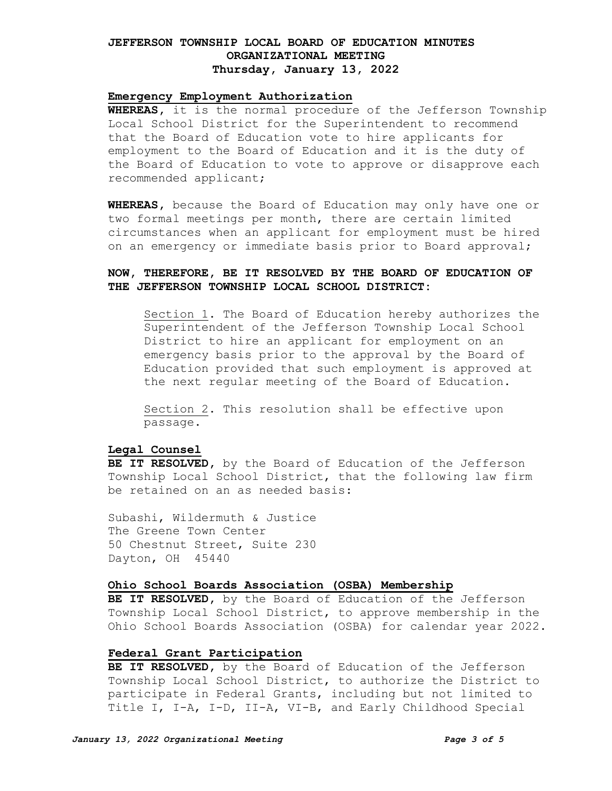## **Emergency Employment Authorization**

**WHEREAS,** it is the normal procedure of the Jefferson Township Local School District for the Superintendent to recommend that the Board of Education vote to hire applicants for employment to the Board of Education and it is the duty of the Board of Education to vote to approve or disapprove each recommended applicant;

**WHEREAS,** because the Board of Education may only have one or two formal meetings per month, there are certain limited circumstances when an applicant for employment must be hired on an emergency or immediate basis prior to Board approval;

## **NOW, THEREFORE, BE IT RESOLVED BY THE BOARD OF EDUCATION OF THE JEFFERSON TOWNSHIP LOCAL SCHOOL DISTRICT:**

Section 1**.** The Board of Education hereby authorizes the Superintendent of the Jefferson Township Local School District to hire an applicant for employment on an emergency basis prior to the approval by the Board of Education provided that such employment is approved at the next regular meeting of the Board of Education.

Section 2**.** This resolution shall be effective upon passage.

### **Legal Counsel**

**BE IT RESOLVED,** by the Board of Education of the Jefferson Township Local School District, that the following law firm be retained on an as needed basis:

Subashi, Wildermuth & Justice The Greene Town Center 50 Chestnut Street, Suite 230 Dayton, OH 45440

## **Ohio School Boards Association (OSBA) Membership**

**BE IT RESOLVED,** by the Board of Education of the Jefferson Township Local School District, to approve membership in the Ohio School Boards Association (OSBA) for calendar year 2022.

## **Federal Grant Participation**

**BE IT RESOLVED,** by the Board of Education of the Jefferson Township Local School District, to authorize the District to participate in Federal Grants, including but not limited to Title I, I-A, I-D, II-A, VI-B, and Early Childhood Special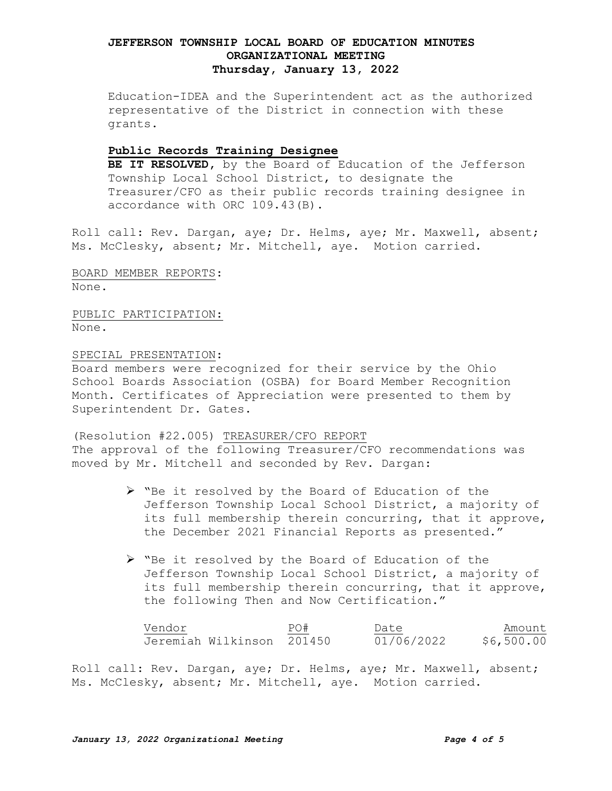Education-IDEA and the Superintendent act as the authorized representative of the District in connection with these grants.

### **Public Records Training Designee**

**BE IT RESOLVED,** by the Board of Education of the Jefferson Township Local School District, to designate the Treasurer/CFO as their public records training designee in accordance with ORC 109.43(B).

Roll call: Rev. Dargan, aye; Dr. Helms, aye; Mr. Maxwell, absent; Ms. McClesky, absent; Mr. Mitchell, aye. Motion carried.

BOARD MEMBER REPORTS: None.

PUBLIC PARTICIPATION: None.

#### SPECIAL PRESENTATION:

Board members were recognized for their service by the Ohio School Boards Association (OSBA) for Board Member Recognition Month. Certificates of Appreciation were presented to them by Superintendent Dr. Gates.

(Resolution #22.005) TREASURER/CFO REPORT The approval of the following Treasurer/CFO recommendations was moved by Mr. Mitchell and seconded by Rev. Dargan:

- "Be it resolved by the Board of Education of the Jefferson Township Local School District, a majority of its full membership therein concurring, that it approve, the December 2021 Financial Reports as presented."
- "Be it resolved by the Board of Education of the Jefferson Township Local School District, a majority of its full membership therein concurring, that it approve, the following Then and Now Certification."

| Vendor                    | PO# | Date       | Amount     |
|---------------------------|-----|------------|------------|
| Jeremiah Wilkinson 201450 |     | 01/06/2022 | \$6,500.00 |

Roll call: Rev. Dargan, aye; Dr. Helms, aye; Mr. Maxwell, absent; Ms. McClesky, absent; Mr. Mitchell, aye. Motion carried.